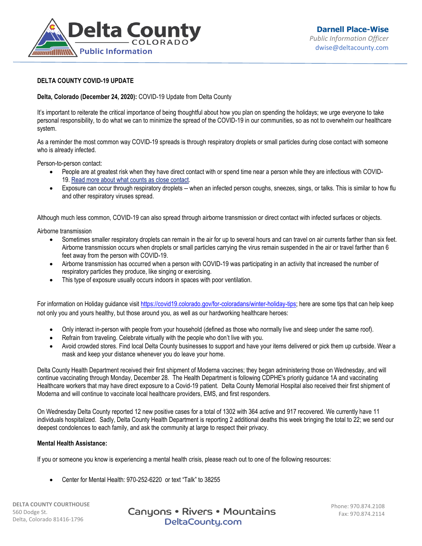

## **DELTA COUNTY COVID-19 UPDATE**

## **Delta, Colorado (December 24, 2020):** COVID-19 Update from Delta County

It's important to reiterate the critical importance of being thoughtful about how you plan on spending the holidays; we urge everyone to take personal responsibility, to do what we can to minimize the spread of the COVID-19 in our communities, so as not to overwhelm our healthcare system.

As a reminder the most common way COVID-19 spreads is through respiratory droplets or small particles during close contact with someone who is already infected.

Person-to-person contact:

- People are at greatest risk when they have direct contact with or spend time near a person while they are infectious with COVID-19. [Read more about what counts as close contact.](https://www.cdc.gov/coronavirus/2019-ncov/if-you-are-sick/quarantine.html)
- Exposure can occur through respiratory droplets -- when an infected person coughs, sneezes, sings, or talks. This is similar to how flu and other respiratory viruses spread.

Although much less common, COVID-19 can also spread through airborne transmission or direct contact with infected surfaces or objects.

Airborne transmission

- Sometimes smaller respiratory droplets can remain in the air for up to several hours and can travel on air currents farther than six feet. Airborne transmission occurs when droplets or small particles carrying the virus remain suspended in the air or travel farther than 6 feet away from the person with COVID-19.
- Airborne transmission has occurred when a person with COVID-19 was participating in an activity that increased the number of respiratory particles they produce, like singing or exercising.
- This type of exposure usually occurs indoors in spaces with poor ventilation.

For information on Holiday guidance visit [https://covid19.colorado.gov/for-coloradans/winter-holiday-tips;](https://covid19.colorado.gov/for-coloradans/winter-holiday-tips) here are some tips that can help keep not only you and yours healthy, but those around you, as well as our hardworking healthcare heroes:

- Only interact in-person with people from your household (defined as those who normally live and sleep under the same roof).
- Refrain from traveling. Celebrate virtually with the people who don't live with you.
- Avoid crowded stores. Find local Delta County businesses to support and have your items delivered or pick them up curbside. Wear a mask and keep your distance whenever you do leave your home.

Delta County Health Department received their first shipment of Moderna vaccines; they began administering those on Wednesday, and will continue vaccinating through Monday, December 28. The Health Department is following CDPHE's priority guidance 1A and vaccinating Healthcare workers that may have direct exposure to a Covid-19 patient. Delta County Memorial Hospital also received their first shipment of Moderna and will continue to vaccinate local healthcare providers, EMS, and first responders.

On Wednesday Delta County reported 12 new positive cases for a total of 1302 with 364 active and 917 recovered. We currently have 11 individuals hospitalized. Sadly, Delta County Health Department is reporting 2 additional deaths this week bringing the total to 22; we send our deepest condolences to each family, and ask the community at large to respect their privacy.

## **Mental Health Assistance:**

If you or someone you know is experiencing a mental health crisis, please reach out to one of the following resources:

Center for Mental Health: 970-252-6220 or text "Talk" to 38255

**DELTA COUNTY COURTHOUSE** 560 Dodge St. Delta, Colorado 81416-1796

Canyons • Rivers • Mountains DeltaCounty.com

Phone: 970.874.2108 Fax: 970.874.2114